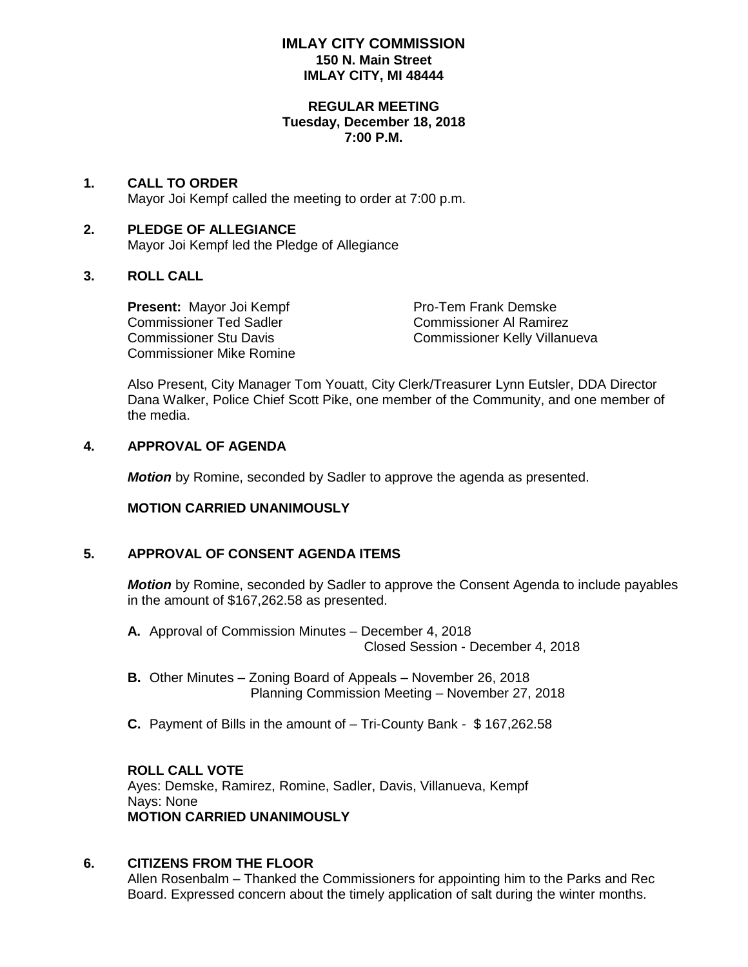#### **IMLAY CITY COMMISSION 150 N. Main Street IMLAY CITY, MI 48444**

#### **REGULAR MEETING Tuesday, December 18, 2018 7:00 P.M.**

## **1. CALL TO ORDER**

Mayor Joi Kempf called the meeting to order at 7:00 p.m.

## **2. PLEDGE OF ALLEGIANCE** Mayor Joi Kempf led the Pledge of Allegiance

## **3. ROLL CALL**

**Present:** Mayor Joi Kempf Pro-Tem Frank Demske Pro-Tem Frank Demske Commissioner Al Ramirez Commissioner Ted Sadler Commissioner Mike Romine

Commissioner Stu Davis Commissioner Kelly Villanueva

Also Present, City Manager Tom Youatt, City Clerk/Treasurer Lynn Eutsler, DDA Director Dana Walker, Police Chief Scott Pike, one member of the Community, and one member of the media.

#### **4. APPROVAL OF AGENDA**

*Motion* by Romine, seconded by Sadler to approve the agenda as presented.

## **MOTION CARRIED UNANIMOUSLY**

## **5. APPROVAL OF CONSENT AGENDA ITEMS**

*Motion* by Romine, seconded by Sadler to approve the Consent Agenda to include payables in the amount of \$167,262.58 as presented.

- **A.** Approval of Commission Minutes December 4, 2018 Closed Session - December 4, 2018
- **B.** Other Minutes Zoning Board of Appeals November 26, 2018 Planning Commission Meeting – November 27, 2018
- **C.** Payment of Bills in the amount of Tri-County Bank \$ 167,262.58

## **ROLL CALL VOTE**

Ayes: Demske, Ramirez, Romine, Sadler, Davis, Villanueva, Kempf Nays: None **MOTION CARRIED UNANIMOUSLY**

## **6. CITIZENS FROM THE FLOOR**

Allen Rosenbalm – Thanked the Commissioners for appointing him to the Parks and Rec Board. Expressed concern about the timely application of salt during the winter months.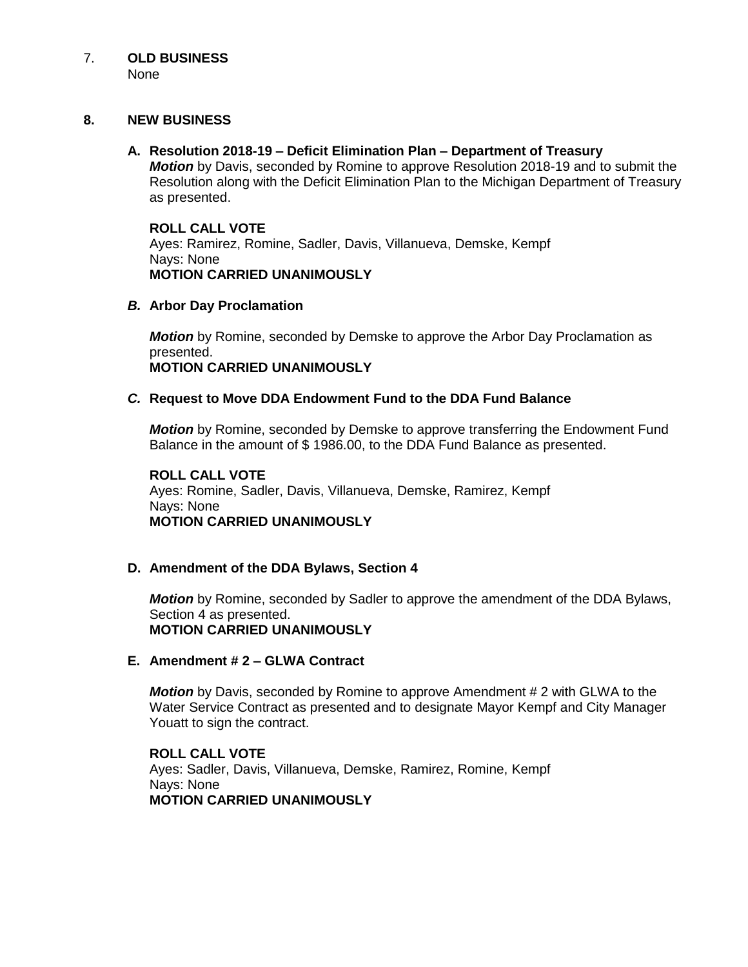# 7. **OLD BUSINESS**

None

## **8. NEW BUSINESS**

## **A. Resolution 2018-19 – Deficit Elimination Plan – Department of Treasury**

*Motion* by Davis, seconded by Romine to approve Resolution 2018-19 and to submit the Resolution along with the Deficit Elimination Plan to the Michigan Department of Treasury as presented.

# **ROLL CALL VOTE**

Ayes: Ramirez, Romine, Sadler, Davis, Villanueva, Demske, Kempf Nays: None **MOTION CARRIED UNANIMOUSLY**

# *B.* **Arbor Day Proclamation**

*Motion* by Romine, seconded by Demske to approve the Arbor Day Proclamation as presented. **MOTION CARRIED UNANIMOUSLY**

# *C.* **Request to Move DDA Endowment Fund to the DDA Fund Balance**

*Motion* by Romine, seconded by Demske to approve transferring the Endowment Fund Balance in the amount of \$ 1986.00, to the DDA Fund Balance as presented.

#### **ROLL CALL VOTE** Ayes: Romine, Sadler, Davis, Villanueva, Demske, Ramirez, Kempf Nays: None **MOTION CARRIED UNANIMOUSLY**

## **D. Amendment of the DDA Bylaws, Section 4**

*Motion* by Romine, seconded by Sadler to approve the amendment of the DDA Bylaws, Section 4 as presented. **MOTION CARRIED UNANIMOUSLY**

## **E. Amendment # 2 – GLWA Contract**

*Motion* by Davis, seconded by Romine to approve Amendment # 2 with GLWA to the Water Service Contract as presented and to designate Mayor Kempf and City Manager Youatt to sign the contract.

**ROLL CALL VOTE** Ayes: Sadler, Davis, Villanueva, Demske, Ramirez, Romine, Kempf Nays: None **MOTION CARRIED UNANIMOUSLY**